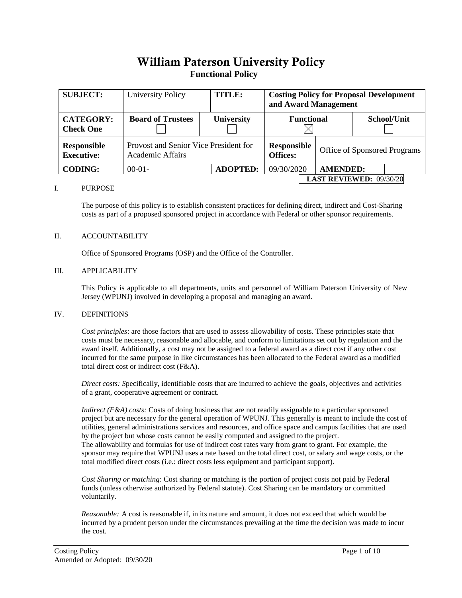## William Paterson University Policy **Functional Policy**

| <b>SUBJECT:</b>                         | <b>University Policy</b>                                         | <b>TITLE:</b>     | <b>Costing Policy for Proposal Development</b><br>and Award Management |  |                                |             |  |
|-----------------------------------------|------------------------------------------------------------------|-------------------|------------------------------------------------------------------------|--|--------------------------------|-------------|--|
| <b>CATEGORY:</b><br><b>Check One</b>    | <b>Board of Trustees</b>                                         | <b>University</b> | <b>Functional</b>                                                      |  |                                | School/Unit |  |
| <b>Responsible</b><br><b>Executive:</b> | Provost and Senior Vice President for<br><b>Academic Affairs</b> |                   | <b>Responsible</b><br><b>Offices:</b>                                  |  | Office of Sponsored Programs   |             |  |
| <b>CODING:</b>                          | $00-01-$                                                         | <b>ADOPTED:</b>   | 09/30/2020                                                             |  | <b>AMENDED:</b>                |             |  |
|                                         |                                                                  |                   |                                                                        |  | <b>LAST REVIEWED: 09/30/20</b> |             |  |

#### I. PURPOSE

The purpose of this policy is to establish consistent practices for defining direct, indirect and Cost-Sharing costs as part of a proposed sponsored project in accordance with Federal or other sponsor requirements.

#### II. ACCOUNTABILITY

Office of Sponsored Programs (OSP) and the Office of the Controller.

#### III. APPLICABILITY

This Policy is applicable to all departments, units and personnel of William Paterson University of New Jersey (WPUNJ) involved in developing a proposal and managing an award.

#### IV. DEFINITIONS

*Cost principles*: are those factors that are used to assess allowability of costs. These principles state that costs must be necessary, reasonable and allocable, and conform to limitations set out by regulation and the award itself. Additionally, a cost may not be assigned to a federal award as a direct cost if any other cost incurred for the same purpose in like circumstances has been allocated to the Federal award as a modified total direct cost or indirect cost (F&A).

*Direct costs: S*pecifically, identifiable costs that are incurred to achieve the goals, objectives and activities of a grant, cooperative agreement or contract.

*Indirect (F&A) costs:* Costs of doing business that are not readily assignable to a particular sponsored project but are necessary for the general operation of WPUNJ. This generally is meant to include the cost of utilities, general administrations services and resources, and office space and campus facilities that are used by the project but whose costs cannot be easily computed and assigned to the project. The allowability and formulas for use of indirect cost rates vary from grant to grant. For example, the sponsor may require that WPUNJ uses a rate based on the total direct cost, or salary and wage costs, or the total modified direct costs (i.e.: direct costs less equipment and participant support).

*Cost Sharing or matching*: Cost sharing or matching is the portion of project costs not paid by Federal funds (unless otherwise authorized by Federal statute). Cost Sharing can be mandatory or committed voluntarily.

*Reasonable:* A cost is reasonable if, in its nature and amount, it does not exceed that which would be incurred by a prudent person under the circumstances prevailing at the time the decision was made to incur the cost.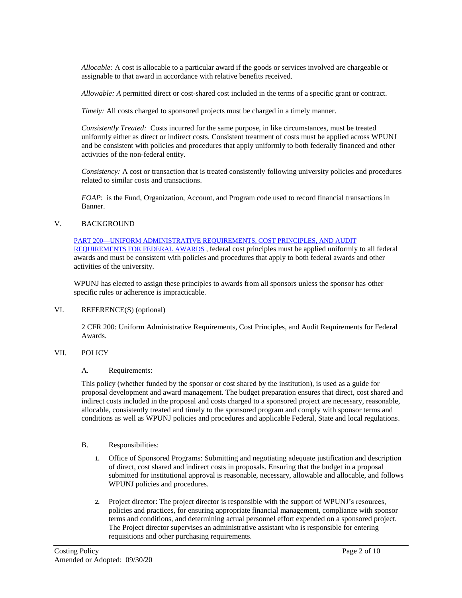*Allocable:* A cost is allocable to a particular award if the goods or services involved are chargeable or assignable to that award in accordance with relative benefits received.

*Allowable: A* permitted direct or cost-shared cost included in the terms of a specific grant or contract.

*Timely:* All costs charged to sponsored projects must be charged in a timely manner.

*Consistently Treated:* Costs incurred for the same purpose, in like circumstances, must be treated uniformly either as direct or indirect costs. Consistent treatment of costs must be applied across WPUNJ and be consistent with policies and procedures that apply uniformly to both federally financed and other activities of the non-federal entity.

*Consistency:* A cost or transaction that is treated consistently following university policies and procedures related to similar costs and transactions.

*FOAP*: is the Fund, Organization, Account, and Program code used to record financial transactions in Banner.

### V. BACKGROUND

[PART 200—UNIFORM ADMINISTRATIVE REQUIREMENTS, COST PRINCIPLES, AND AUDIT](https://www.ecfr.gov/cgi-bin/text-idx?SID=ed90f54836feb6a994f657188eb05e33&node=2:1.1.2.2.1&rgn=div5)  [REQUIREMENTS FOR FEDERAL AWARDS](https://www.ecfr.gov/cgi-bin/text-idx?SID=ed90f54836feb6a994f657188eb05e33&node=2:1.1.2.2.1&rgn=div5) , federal cost principles must be applied uniformly to all federal awards and must be consistent with policies and procedures that apply to both federal awards and other activities of the university.

WPUNJ has elected to assign these principles to awards from all sponsors unless the sponsor has other specific rules or adherence is impracticable.

#### VI. REFERENCE(S) (optional)

2 CFR 200: Uniform Administrative Requirements, Cost Principles, and Audit Requirements for Federal Awards.

### VII. POLICY

#### A. Requirements:

This policy (whether funded by the sponsor or cost shared by the institution), is used as a guide for proposal development and award management. The budget preparation ensures that direct, cost shared and indirect costs included in the proposal and costs charged to a sponsored project are necessary, reasonable, allocable, consistently treated and timely to the sponsored program and comply with sponsor terms and conditions as well as WPUNJ policies and procedures and applicable Federal, State and local regulations.

#### B. Responsibilities:

- **1.** Office of Sponsored Programs: Submitting and negotiating adequate justification and description of direct, cost shared and indirect costs in proposals. Ensuring that the budget in a proposal submitted for institutional approval is reasonable, necessary, allowable and allocable, and follows WPUNJ policies and procedures.
- **2.** Project director: The project director is responsible with the support of WPUNJ's resources, policies and practices, for ensuring appropriate financial management, compliance with sponsor terms and conditions, and determining actual personnel effort expended on a sponsored project. The Project director supervises an administrative assistant who is responsible for entering requisitions and other purchasing requirements.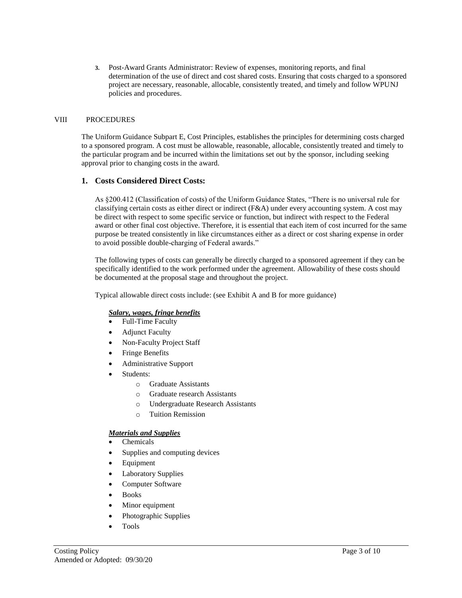**3.** Post-Award Grants Administrator: Review of expenses, monitoring reports, and final determination of the use of direct and cost shared costs. Ensuring that costs charged to a sponsored project are necessary, reasonable, allocable, consistently treated, and timely and follow WPUNJ policies and procedures.

#### VIII PROCEDURES

The Uniform Guidance Subpart E, Cost Principles, establishes the principles for determining costs charged to a sponsored program. A cost must be allowable, reasonable, allocable, consistently treated and timely to the particular program and be incurred within the limitations set out by the sponsor, including seeking approval prior to changing costs in the award.

#### **1. Costs Considered Direct Costs:**

As §200.412 (Classification of costs) of the Uniform Guidance States, "There is no universal rule for classifying certain costs as either direct or indirect (F&A) under every accounting system. A cost may be direct with respect to some specific service or function, but indirect with respect to the Federal award or other final cost objective. Therefore, it is essential that each item of cost incurred for the same purpose be treated consistently in like circumstances either as a direct or cost sharing expense in order to avoid possible double-charging of Federal awards."

The following types of costs can generally be directly charged to a sponsored agreement if they can be specifically identified to the work performed under the agreement. Allowability of these costs should be documented at the proposal stage and throughout the project.

Typical allowable direct costs include: (see Exhibit A and B for more guidance)

#### *Salary, wages, fringe benefits*

- Full-Time Faculty
- Adjunct Faculty
- Non-Faculty Project Staff
- Fringe Benefits
- Administrative Support
- Students:
	- o Graduate Assistants
	- o Graduate research Assistants
	- o Undergraduate Research Assistants
	- o Tuition Remission

#### *Materials and Supplies*

- Chemicals
- Supplies and computing devices
- Equipment
- Laboratory Supplies
- Computer Software
- Books
- Minor equipment
- Photographic Supplies
- Tools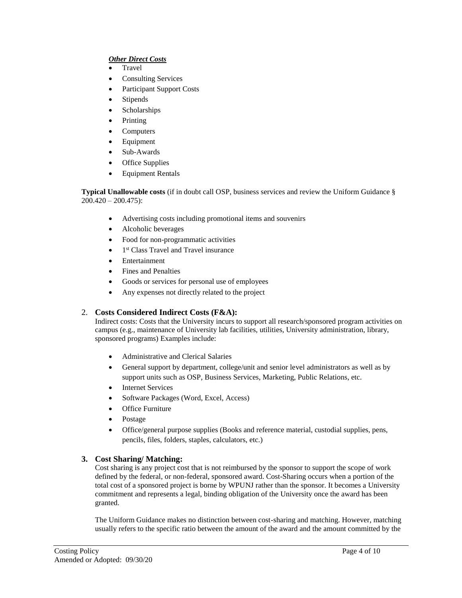## *Other Direct Costs*

- Travel
- Consulting Services
- Participant Support Costs
- Stipends
- Scholarships
- Printing
- Computers
- Equipment
- Sub-Awards
- Office Supplies
- Equipment Rentals

**Typical Unallowable costs** (if in doubt call OSP, business services and review the Uniform Guidance §  $200.420 - 200.475$ :

- Advertising costs including promotional items and souvenirs
- Alcoholic beverages
- Food for non-programmatic activities
- 1<sup>st</sup> Class Travel and Travel insurance
- Entertainment
- Fines and Penalties
- Goods or services for personal use of employees
- Any expenses not directly related to the project

## 2. **Costs Considered Indirect Costs (F&A):**

Indirect costs: Costs that the University incurs to support all research/sponsored program activities on campus (e.g., maintenance of University lab facilities, utilities, University administration, library, sponsored programs) Examples include:

- Administrative and Clerical Salaries
- General support by department, college/unit and senior level administrators as well as by support units such as OSP, Business Services, Marketing, Public Relations, etc.
- Internet Services
- Software Packages (Word, Excel, Access)
- Office Furniture
- Postage
- Office/general purpose supplies (Books and reference material, custodial supplies, pens, pencils, files, folders, staples, calculators, etc.)

## **3. Cost Sharing/ Matching:**

Cost sharing is any project cost that is not reimbursed by the sponsor to support the scope of work defined by the federal, or non-federal, sponsored award. Cost-Sharing occurs when a portion of the total cost of a sponsored project is borne by WPUNJ rather than the sponsor. It becomes a University commitment and represents a legal, binding obligation of the University once the award has been granted.

The Uniform Guidance makes no distinction between cost-sharing and matching. However, matching usually refers to the specific ratio between the amount of the award and the amount committed by the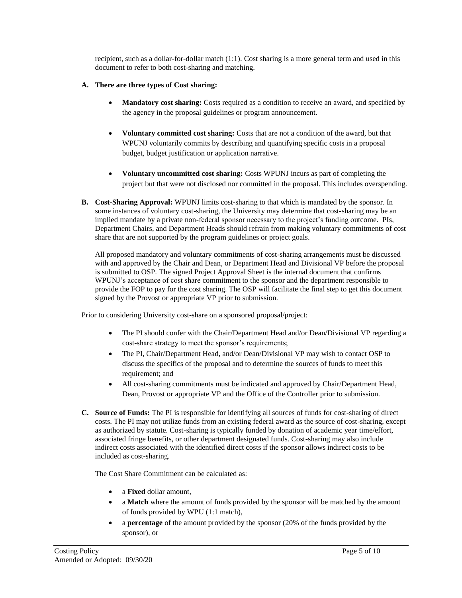recipient, such as a dollar-for-dollar match (1:1). Cost sharing is a more general term and used in this document to refer to both cost-sharing and matching.

## **A. There are three types of Cost sharing:**

- **Mandatory cost sharing:** Costs required as a condition to receive an award, and specified by the agency in the proposal guidelines or program announcement.
- **Voluntary committed cost sharing:** Costs that are not a condition of the award, but that WPUNJ voluntarily commits by describing and quantifying specific costs in a proposal budget, budget justification or application narrative.
- **Voluntary uncommitted cost sharing:** Costs WPUNJ incurs as part of completing the project but that were not disclosed nor committed in the proposal. This includes overspending.
- **B. Cost-Sharing Approval:** WPUNJ limits cost-sharing to that which is mandated by the sponsor. In some instances of voluntary cost-sharing, the University may determine that cost-sharing may be an implied mandate by a private non-federal sponsor necessary to the project's funding outcome. PIs, Department Chairs, and Department Heads should refrain from making voluntary commitments of cost share that are not supported by the program guidelines or project goals.

All proposed mandatory and voluntary commitments of cost-sharing arrangements must be discussed with and approved by the Chair and Dean, or Department Head and Divisional VP before the proposal is submitted to OSP. The signed Project Approval Sheet is the internal document that confirms WPUNJ's acceptance of cost share commitment to the sponsor and the department responsible to provide the FOP to pay for the cost sharing. The OSP will facilitate the final step to get this document signed by the Provost or appropriate VP prior to submission.

Prior to considering University cost-share on a sponsored proposal/project:

- The PI should confer with the Chair/Department Head and/or Dean/Divisional VP regarding a cost-share strategy to meet the sponsor's requirements;
- The PI, Chair/Department Head, and/or Dean/Divisional VP may wish to contact OSP to discuss the specifics of the proposal and to determine the sources of funds to meet this requirement; and
- All cost-sharing commitments must be indicated and approved by Chair/Department Head, Dean, Provost or appropriate VP and the Office of the Controller prior to submission.
- **C. Source of Funds:** The PI is responsible for identifying all sources of funds for cost-sharing of direct costs. The PI may not utilize funds from an existing federal award as the source of cost-sharing, except as authorized by statute. Cost-sharing is typically funded by donation of academic year time/effort, associated fringe benefits, or other department designated funds. Cost-sharing may also include indirect costs associated with the identified direct costs if the sponsor allows indirect costs to be included as cost-sharing.

The Cost Share Commitment can be calculated as:

- a **Fixed** dollar amount,
- a **Match** where the amount of funds provided by the sponsor will be matched by the amount of funds provided by WPU (1:1 match),
- a **percentage** of the amount provided by the sponsor (20% of the funds provided by the sponsor), or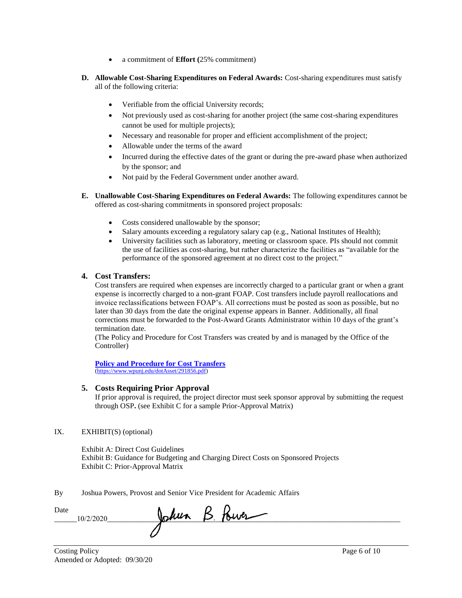- a commitment of **Effort (**25% commitment)
- **D. Allowable Cost-Sharing Expenditures on Federal Awards:** Cost-sharing expenditures must satisfy all of the following criteria:
	- Verifiable from the official University records;
	- Not previously used as cost-sharing for another project (the same cost-sharing expenditures cannot be used for multiple projects);
	- Necessary and reasonable for proper and efficient accomplishment of the project;
	- Allowable under the terms of the award
	- Incurred during the effective dates of the grant or during the pre-award phase when authorized by the sponsor; and
	- Not paid by the Federal Government under another award.
- **E. Unallowable Cost-Sharing Expenditures on Federal Awards:** The following expenditures cannot be offered as cost-sharing commitments in sponsored project proposals:
	- Costs considered unallowable by the sponsor;
	- Salary amounts exceeding a regulatory salary cap (e.g., National Institutes of Health);
	- University facilities such as laboratory, meeting or classroom space. PIs should not commit the use of facilities as cost-sharing, but rather characterize the facilities as "available for the performance of the sponsored agreement at no direct cost to the project."

#### **4. Cost Transfers:**

Cost transfers are required when expenses are incorrectly charged to a particular grant or when a grant expense is incorrectly charged to a non-grant FOAP. Cost transfers include payroll reallocations and invoice reclassifications between FOAP's. All corrections must be posted as soon as possible, but no later than 30 days from the date the original expense appears in Banner. Additionally, all final corrections must be forwarded to the Post-Award Grants Administrator within 10 days of the grant's termination date.

(The Policy and Procedure for Cost Transfers was created by and is managed by the Office of the Controller)

**[Policy and Procedure for Cost Transfers](https://www.wpunj.edu/dotAsset/291856.pdf)** [\(https://www.wpunj.edu/dotAsset/291856.pdf\)](https://www.wpunj.edu/dotAsset/291856.pdf)

### **5. Costs Requiring Prior Approval**

If prior approval is required, the project director must seek sponsor approval by submitting the request through OSP**.** (see Exhibit C for a sample Prior-Approval Matrix)

## IX. EXHIBIT(S) (optional)

Exhibit A: Direct Cost Guidelines Exhibit B: Guidance for Budgeting and Charging Direct Costs on Sponsored Projects Exhibit C: Prior-Approval Matrix

By Joshua Powers, Provost and Senior Vice President for Academic Affairs

| Date | - <i>11 11 -</i> 1<br>w | ستستسلكمل<br>. . |  |
|------|-------------------------|------------------|--|
|      |                         |                  |  |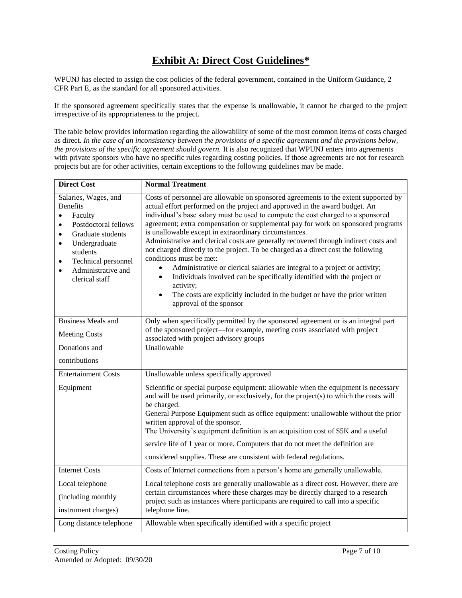## **Exhibit A: Direct Cost Guidelines\***

WPUNJ has elected to assign the cost policies of the federal government, contained in the Uniform Guidance, 2 CFR Part E, as the standard for all sponsored activities.

If the sponsored agreement specifically states that the expense is unallowable, it cannot be charged to the project irrespective of its appropriateness to the project.

The table below provides information regarding the allowability of some of the most common items of costs charged as direct. *In the case of an inconsistency between the provisions of a specific agreement and the provisions below, the provisions of the specific agreement should govern.* It is also recognized that WPUNJ enters into agreements with private sponsors who have no specific rules regarding costing policies. If those agreements are not for research projects but are for other activities, certain exceptions to the following guidelines may be made.

| <b>Direct Cost</b>                                                                                                                                                                                                                                                        | <b>Normal Treatment</b>                                                                                                                                                                                                                                                                                                                                                                                                                                                                                                                                                                                                                                                                                                                                                                                                                                                                                             |
|---------------------------------------------------------------------------------------------------------------------------------------------------------------------------------------------------------------------------------------------------------------------------|---------------------------------------------------------------------------------------------------------------------------------------------------------------------------------------------------------------------------------------------------------------------------------------------------------------------------------------------------------------------------------------------------------------------------------------------------------------------------------------------------------------------------------------------------------------------------------------------------------------------------------------------------------------------------------------------------------------------------------------------------------------------------------------------------------------------------------------------------------------------------------------------------------------------|
| Salaries, Wages, and<br><b>Benefits</b><br>Faculty<br>$\bullet$<br>Postdoctoral fellows<br>$\bullet$<br>Graduate students<br>$\bullet$<br>Undergraduate<br>$\bullet$<br>students<br>Technical personnel<br>$\bullet$<br>Administrative and<br>$\bullet$<br>clerical staff | Costs of personnel are allowable on sponsored agreements to the extent supported by<br>actual effort performed on the project and approved in the award budget. An<br>individual's base salary must be used to compute the cost charged to a sponsored<br>agreement; extra compensation or supplemental pay for work on sponsored programs<br>is unallowable except in extraordinary circumstances.<br>Administrative and clerical costs are generally recovered through indirect costs and<br>not charged directly to the project. To be charged as a direct cost the following<br>conditions must be met:<br>Administrative or clerical salaries are integral to a project or activity;<br>Individuals involved can be specifically identified with the project or<br>$\bullet$<br>activity;<br>The costs are explicitly included in the budget or have the prior written<br>$\bullet$<br>approval of the sponsor |
| <b>Business Meals and</b>                                                                                                                                                                                                                                                 | Only when specifically permitted by the sponsored agreement or is an integral part                                                                                                                                                                                                                                                                                                                                                                                                                                                                                                                                                                                                                                                                                                                                                                                                                                  |
| <b>Meeting Costs</b>                                                                                                                                                                                                                                                      | of the sponsored project—for example, meeting costs associated with project<br>associated with project advisory groups                                                                                                                                                                                                                                                                                                                                                                                                                                                                                                                                                                                                                                                                                                                                                                                              |
| Donations and                                                                                                                                                                                                                                                             | Unallowable                                                                                                                                                                                                                                                                                                                                                                                                                                                                                                                                                                                                                                                                                                                                                                                                                                                                                                         |
| contributions                                                                                                                                                                                                                                                             |                                                                                                                                                                                                                                                                                                                                                                                                                                                                                                                                                                                                                                                                                                                                                                                                                                                                                                                     |
| <b>Entertainment Costs</b>                                                                                                                                                                                                                                                | Unallowable unless specifically approved                                                                                                                                                                                                                                                                                                                                                                                                                                                                                                                                                                                                                                                                                                                                                                                                                                                                            |
| Equipment                                                                                                                                                                                                                                                                 | Scientific or special purpose equipment: allowable when the equipment is necessary<br>and will be used primarily, or exclusively, for the project(s) to which the costs will<br>be charged.<br>General Purpose Equipment such as office equipment: unallowable without the prior<br>written approval of the sponsor.<br>The University's equipment definition is an acquisition cost of \$5K and a useful<br>service life of 1 year or more. Computers that do not meet the definition are<br>considered supplies. These are consistent with federal regulations.                                                                                                                                                                                                                                                                                                                                                   |
| <b>Internet Costs</b>                                                                                                                                                                                                                                                     | Costs of Internet connections from a person's home are generally unallowable.                                                                                                                                                                                                                                                                                                                                                                                                                                                                                                                                                                                                                                                                                                                                                                                                                                       |
| Local telephone                                                                                                                                                                                                                                                           | Local telephone costs are generally unallowable as a direct cost. However, there are<br>certain circumstances where these charges may be directly charged to a research                                                                                                                                                                                                                                                                                                                                                                                                                                                                                                                                                                                                                                                                                                                                             |
| (including monthly<br>instrument charges)                                                                                                                                                                                                                                 | project such as instances where participants are required to call into a specific<br>telephone line.                                                                                                                                                                                                                                                                                                                                                                                                                                                                                                                                                                                                                                                                                                                                                                                                                |
| Long distance telephone                                                                                                                                                                                                                                                   | Allowable when specifically identified with a specific project                                                                                                                                                                                                                                                                                                                                                                                                                                                                                                                                                                                                                                                                                                                                                                                                                                                      |
|                                                                                                                                                                                                                                                                           |                                                                                                                                                                                                                                                                                                                                                                                                                                                                                                                                                                                                                                                                                                                                                                                                                                                                                                                     |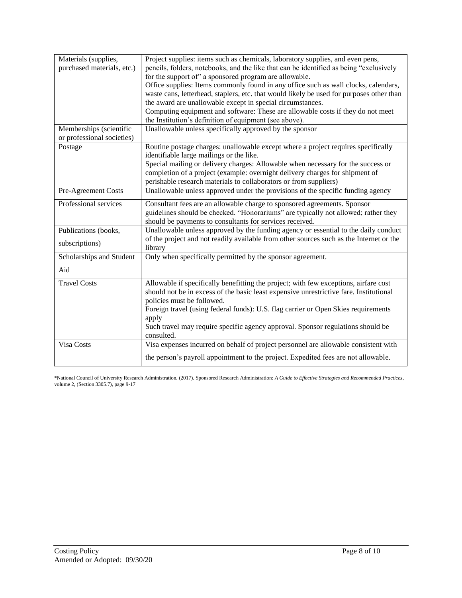| Materials (supplies,       | Project supplies: items such as chemicals, laboratory supplies, and even pens,           |
|----------------------------|------------------------------------------------------------------------------------------|
| purchased materials, etc.) | pencils, folders, notebooks, and the like that can be identified as being "exclusively   |
|                            | for the support of" a sponsored program are allowable.                                   |
|                            | Office supplies: Items commonly found in any office such as wall clocks, calendars,      |
|                            | waste cans, letterhead, staplers, etc. that would likely be used for purposes other than |
|                            | the award are unallowable except in special circumstances.                               |
|                            | Computing equipment and software: These are allowable costs if they do not meet          |
|                            | the Institution's definition of equipment (see above).                                   |
| Memberships (scientific    | Unallowable unless specifically approved by the sponsor                                  |
| or professional societies) |                                                                                          |
| Postage                    | Routine postage charges: unallowable except where a project requires specifically        |
|                            | identifiable large mailings or the like.                                                 |
|                            | Special mailing or delivery charges: Allowable when necessary for the success or         |
|                            | completion of a project (example: overnight delivery charges for shipment of             |
|                            | perishable research materials to collaborators or from suppliers)                        |
| Pre-Agreement Costs        | Unallowable unless approved under the provisions of the specific funding agency          |
| Professional services      | Consultant fees are an allowable charge to sponsored agreements. Sponsor                 |
|                            | guidelines should be checked. "Honorariums" are typically not allowed; rather they       |
|                            | should be payments to consultants for services received.                                 |
| Publications (books,       | Unallowable unless approved by the funding agency or essential to the daily conduct      |
|                            | of the project and not readily available from other sources such as the Internet or the  |
| subscriptions)             | library                                                                                  |
| Scholarships and Student   | Only when specifically permitted by the sponsor agreement.                               |
| Aid                        |                                                                                          |
|                            |                                                                                          |
| <b>Travel Costs</b>        | Allowable if specifically benefitting the project; with few exceptions, airfare cost     |
|                            | should not be in excess of the basic least expensive unrestrictive fare. Institutional   |
|                            | policies must be followed.                                                               |
|                            | Foreign travel (using federal funds): U.S. flag carrier or Open Skies requirements       |
|                            | apply                                                                                    |
|                            | Such travel may require specific agency approval. Sponsor regulations should be          |
|                            | consulted.                                                                               |
| Visa Costs                 | Visa expenses incurred on behalf of project personnel are allowable consistent with      |
|                            | the person's payroll appointment to the project. Expedited fees are not allowable.       |
|                            |                                                                                          |

\*National Council of University Research Administration. (2017). Sponsored Research Administration: *A Guide to Effective Strategies and Recommended Practices*, volume 2, (Section 3305.7), page 9-17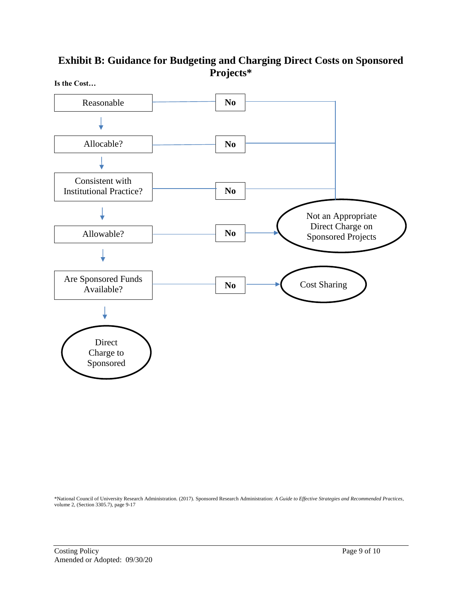## **Exhibit B: Guidance for Budgeting and Charging Direct Costs on Sponsored Projects\***



\*National Council of University Research Administration. (2017). Sponsored Research Administration: *A Guide to Effective Strategies and Recommended Practices*, volume 2, (Section 3305.7), page 9-17